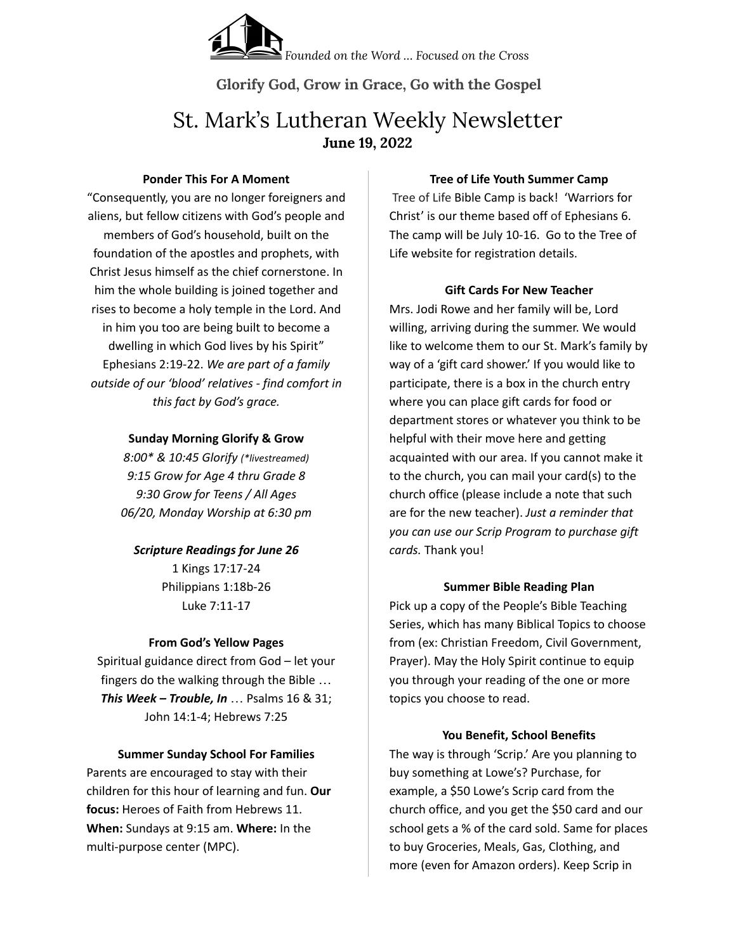

**Glorify God, Grow in Grace, Go with the Gospel**

# St. Mark's Lutheran Weekly Newsletter **June 19, 2022**

#### **Ponder This For A Moment**

"Consequently, you are no longer foreigners and aliens, but fellow citizens with God's people and members of God's household, built on the foundation of the apostles and prophets, with Christ Jesus himself as the chief cornerstone. In him the whole building is joined together and rises to become a holy temple in the Lord. And in him you too are being built to become a dwelling in which God lives by his Spirit" Ephesians 2:19-22. *We are part of a family outside of our 'blood' relatives - find comfort in this fact by God's grace.*

## **Sunday Morning Glorify & Grow**

*8:00\* & 10:45 Glorify (\*livestreamed) 9:15 Grow for Age 4 thru Grade 8 9:30 Grow for Teens / All Ages 06/20, Monday Worship at 6:30 pm*

# *Scripture Readings for June 26* 1 Kings 17:17-24

Philippians 1:18b-26 Luke 7:11-17

# **From God's Yellow Pages**

Spiritual guidance direct from God – let your fingers do the walking through the Bible … *This Week – Trouble, In* … Psalms 16 & 31; John 14:1-4; Hebrews 7:25

## **Summer Sunday School For Families**

Parents are encouraged to stay with their children for this hour of learning and fun. **Our focus:** Heroes of Faith from Hebrews 11. **When:** Sundays at 9:15 am. **Where:** In the multi-purpose center (MPC).

## **Tree of Life Youth Summer Camp**

Tree of Life Bible Camp is back! 'Warriors for Christ' is our theme based off of Ephesians 6. The camp will be July 10-16. Go to the Tree of Life website for registration details.

# **Gift Cards For New Teacher**

Mrs. Jodi Rowe and her family will be, Lord willing, arriving during the summer. We would like to welcome them to our St. Mark's family by way of a 'gift card shower.' If you would like to participate, there is a box in the church entry where you can place gift cards for food or department stores or whatever you think to be helpful with their move here and getting acquainted with our area. If you cannot make it to the church, you can mail your card(s) to the church office (please include a note that such are for the new teacher). *Just a reminder that you can use our Scrip Program to purchase gift cards.* Thank you!

# **Summer Bible Reading Plan**

Pick up a copy of the People's Bible Teaching Series, which has many Biblical Topics to choose from (ex: Christian Freedom, Civil Government, Prayer). May the Holy Spirit continue to equip you through your reading of the one or more topics you choose to read.

# **You Benefit, School Benefits**

The way is through 'Scrip.' Are you planning to buy something at Lowe's? Purchase, for example, a \$50 Lowe's Scrip card from the church office, and you get the \$50 card and our school gets a % of the card sold. Same for places to buy Groceries, Meals, Gas, Clothing, and more (even for Amazon orders). Keep Scrip in